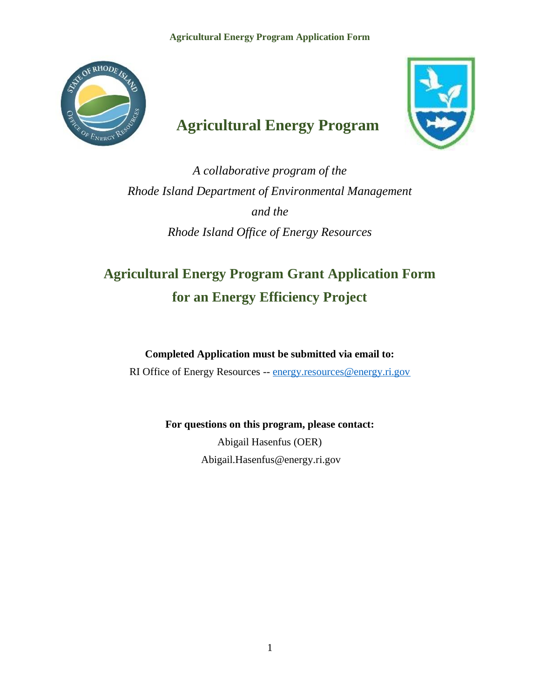**Agricultural Energy Program Application Form**



# **Agricultural Energy Program**



*A collaborative program of the Rhode Island Department of Environmental Management and the Rhode Island Office of Energy Resources*

# **Agricultural Energy Program Grant Application Form for an Energy Efficiency Project**

**Completed Application must be submitted via email to:**

RI Office of Energy Resources -- [energy.resources@energy.ri.gov](mailto:energy.resources@energy.ri.gov)

**For questions on this program, please contact:**

Abigail Hasenfus (OER) Abigail.Hasenfus@energy.ri.gov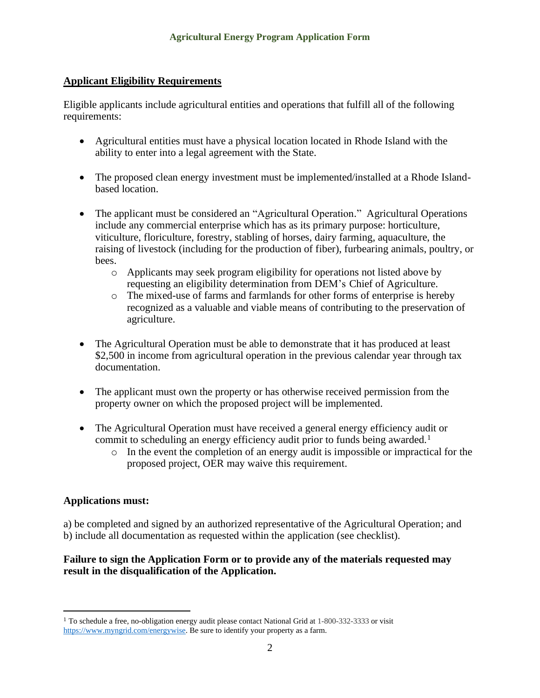### **Applicant Eligibility Requirements**

Eligible applicants include agricultural entities and operations that fulfill all of the following requirements:

- Agricultural entities must have a physical location located in Rhode Island with the ability to enter into a legal agreement with the State.
- The proposed clean energy investment must be implemented/installed at a Rhode Islandbased location.
- The applicant must be considered an "Agricultural Operation." Agricultural Operations include any commercial enterprise which has as its primary purpose: horticulture, viticulture, floriculture, forestry, stabling of horses, dairy farming, aquaculture, the raising of livestock (including for the production of fiber), furbearing animals, poultry, or bees.
	- o Applicants may seek program eligibility for operations not listed above by requesting an eligibility determination from DEM's Chief of Agriculture.
	- o The mixed-use of farms and farmlands for other forms of enterprise is hereby recognized as a valuable and viable means of contributing to the preservation of agriculture.
- The Agricultural Operation must be able to demonstrate that it has produced at least \$2,500 in income from agricultural operation in the previous calendar year through tax documentation.
- The applicant must own the property or has otherwise received permission from the property owner on which the proposed project will be implemented.
- The Agricultural Operation must have received a general energy efficiency audit or commit to scheduling an energy efficiency audit prior to funds being awarded.<sup>1</sup>
	- o In the event the completion of an energy audit is impossible or impractical for the proposed project, OER may waive this requirement.

#### **Applications must:**

a) be completed and signed by an authorized representative of the Agricultural Operation; and b) include all documentation as requested within the application (see checklist).

### **Failure to sign the Application Form or to provide any of the materials requested may result in the disqualification of the Application.**

<sup>1</sup> To schedule a free, no-obligation energy audit please contact National Grid at 1-800-332-3333 or visit [https://www.myngrid.com/energywise.](about:blank) Be sure to identify your property as a farm.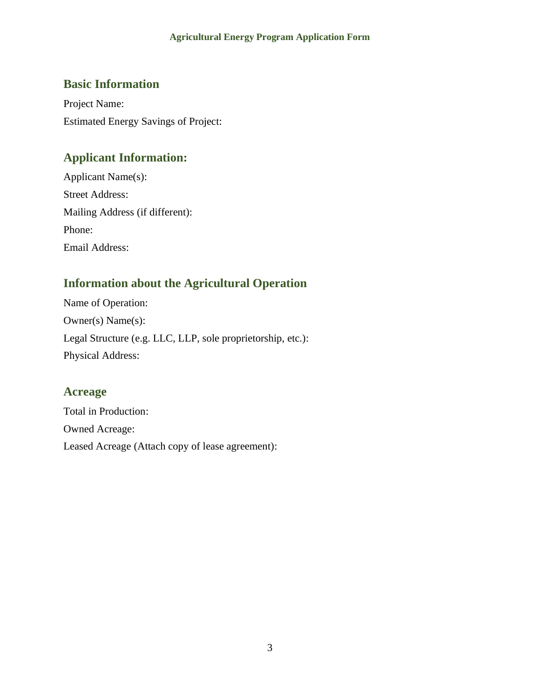#### **Agricultural Energy Program Application Form**

# **Basic Information**

Project Name: Estimated Energy Savings of Project:

## **Applicant Information:**

Applicant Name(s): Street Address: Mailing Address (if different): Phone: Email Address:

# **Information about the Agricultural Operation**

Name of Operation: Owner(s) Name(s): Legal Structure (e.g. LLC, LLP, sole proprietorship, etc.): Physical Address:

### **Acreage**

Total in Production: Owned Acreage: Leased Acreage (Attach copy of lease agreement):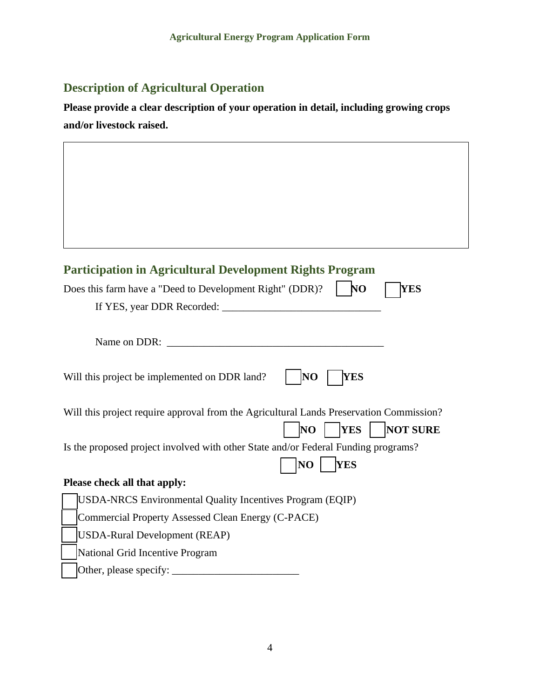# **Description of Agricultural Operation**

**Please provide a clear description of your operation in detail, including growing crops and/or livestock raised.**

|  | <b>Participation in Agricultural Development Rights Program</b>                                                                       |  |  |  |  |  |
|--|---------------------------------------------------------------------------------------------------------------------------------------|--|--|--|--|--|
|  | Does this farm have a "Deed to Development Right" (DDR)?<br>N <sub>O</sub><br><b>YES</b>                                              |  |  |  |  |  |
|  |                                                                                                                                       |  |  |  |  |  |
|  |                                                                                                                                       |  |  |  |  |  |
|  | Name on DDR:<br><u> 1980 - Jan Barbara Barbara, maso a seria da seria de la contrada de la contrada de la contrada de la contrada</u> |  |  |  |  |  |
|  | N <sub>O</sub><br><b>YES</b><br>Will this project be implemented on DDR land?                                                         |  |  |  |  |  |
|  | Will this project require approval from the Agricultural Lands Preservation Commission?                                               |  |  |  |  |  |
|  | <b>NOT SURE</b><br><b>YES</b><br>NO                                                                                                   |  |  |  |  |  |
|  | Is the proposed project involved with other State and/or Federal Funding programs?                                                    |  |  |  |  |  |
|  | <b>YES</b><br>N <sub>O</sub>                                                                                                          |  |  |  |  |  |
|  | Please check all that apply:                                                                                                          |  |  |  |  |  |
|  | USDA-NRCS Environmental Quality Incentives Program (EQIP)                                                                             |  |  |  |  |  |
|  | Commercial Property Assessed Clean Energy (C-PACE)                                                                                    |  |  |  |  |  |
|  | <b>USDA-Rural Development (REAP)</b>                                                                                                  |  |  |  |  |  |
|  | National Grid Incentive Program                                                                                                       |  |  |  |  |  |
|  | Other, please specify:                                                                                                                |  |  |  |  |  |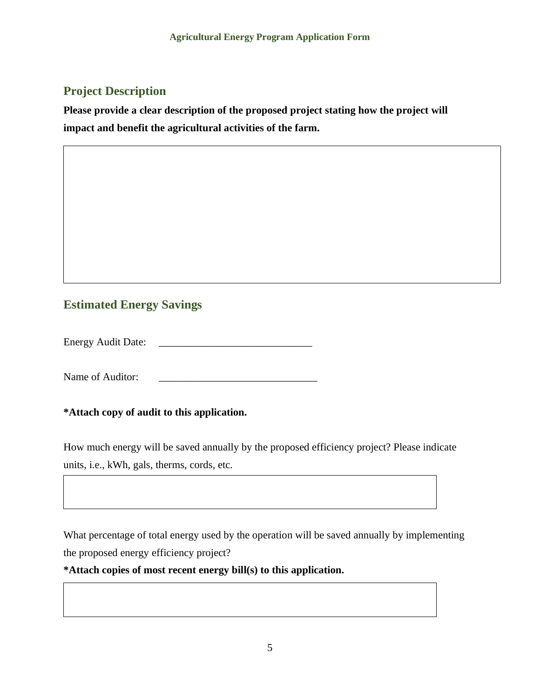# **Project Description**

**Please provide a clear description of the proposed project stating how the project will impact and benefit the agricultural activities of the farm.**

# **Estimated Energy Savings**

Energy Audit Date:

Name of Auditor:

**\*Attach copy of audit to this application.**

How much energy will be saved annually by the proposed efficiency project? Please indicate units, i.e., kWh, gals, therms, cords, etc.

What percentage of total energy used by the operation will be saved annually by implementing the proposed energy efficiency project?

**\*Attach copies of most recent energy bill(s) to this application.**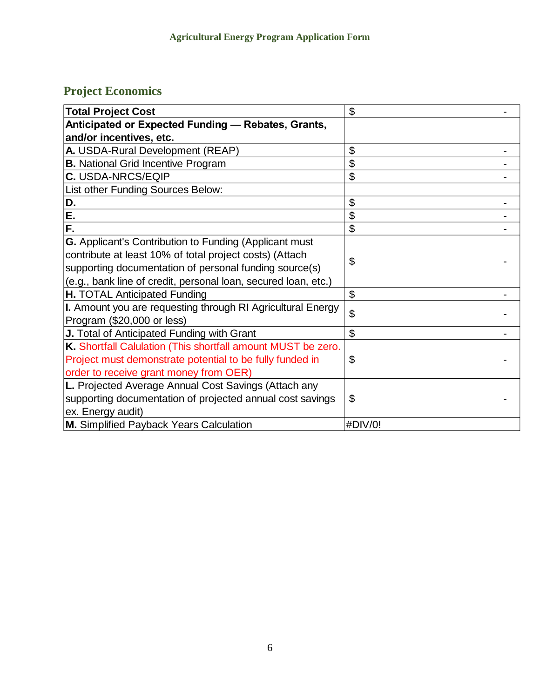# **Project Economics**

| <b>Total Project Cost</b>                                      | \$             |
|----------------------------------------------------------------|----------------|
| Anticipated or Expected Funding - Rebates, Grants,             |                |
| and/or incentives, etc.                                        |                |
| A. USDA-Rural Development (REAP)                               | \$             |
| <b>B.</b> National Grid Incentive Program                      | \$             |
| <b>C. USDA-NRCS/EQIP</b>                                       | \$             |
| List other Funding Sources Below:                              |                |
| D.                                                             | \$             |
| E.                                                             | \$             |
| F.                                                             | \$             |
| <b>G.</b> Applicant's Contribution to Funding (Applicant must  |                |
| contribute at least 10% of total project costs) (Attach        | \$             |
| supporting documentation of personal funding source(s)         |                |
| (e.g., bank line of credit, personal loan, secured loan, etc.) |                |
| <b>H. TOTAL Anticipated Funding</b>                            | \$             |
| I. Amount you are requesting through RI Agricultural Energy    | $\mathfrak{L}$ |
| Program (\$20,000 or less)                                     |                |
| J. Total of Anticipated Funding with Grant                     | \$             |
| K. Shortfall Calulation (This shortfall amount MUST be zero.   |                |
| Project must demonstrate potential to be fully funded in       | \$             |
| order to receive grant money from OER)                         |                |
| L. Projected Average Annual Cost Savings (Attach any           |                |
| supporting documentation of projected annual cost savings      | \$             |
| ex. Energy audit)                                              |                |
| M. Simplified Payback Years Calculation                        | #DIV/0!        |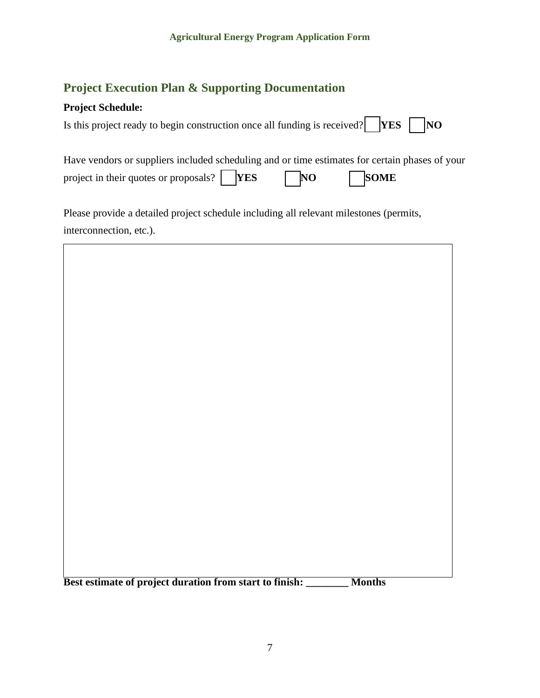# **Project Execution Plan & Supporting Documentation**

### **Project Schedule:**

| Is this project ready to begin construction once all funding is received? $YES$ MO |  |  |
|------------------------------------------------------------------------------------|--|--|
|------------------------------------------------------------------------------------|--|--|

| Have vendors or suppliers included scheduling and or time estimates for certain phases of your |           |             |
|------------------------------------------------------------------------------------------------|-----------|-------------|
| project in their quotes or proposals? $\begin{bmatrix} \n\mathbf{YES} \n\end{bmatrix}$         | $\neg$ NO | <b>SOME</b> |

Please provide a detailed project schedule including all relevant milestones (permits, interconnection, etc.).



**Best estimate of project duration from start to finish: \_\_\_\_\_\_\_\_ Months**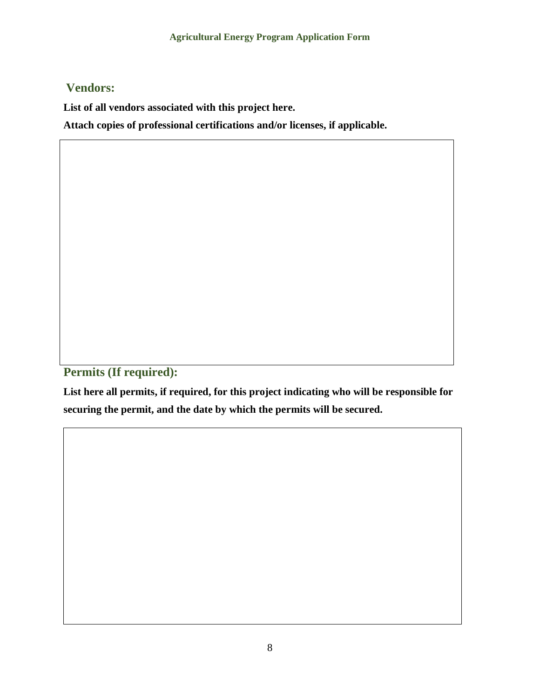# **Vendors:**

**List of all vendors associated with this project here.**

**Attach copies of professional certifications and/or licenses, if applicable.** 

**Permits (If required):**

**List here all permits, if required, for this project indicating who will be responsible for securing the permit, and the date by which the permits will be secured.**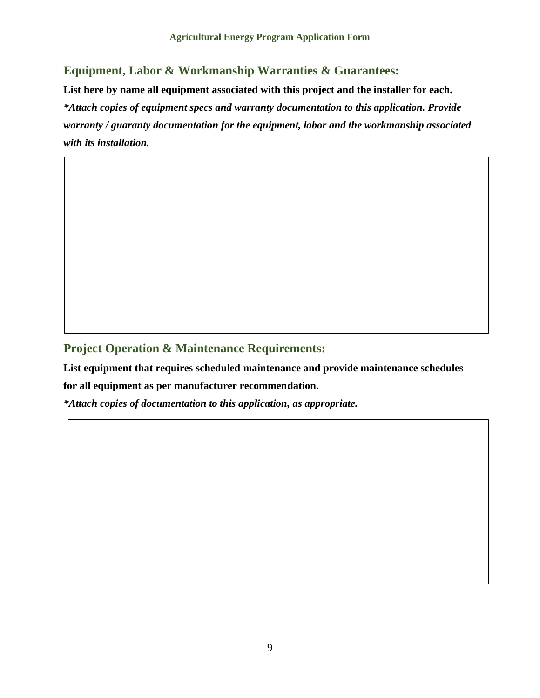# **Equipment, Labor & Workmanship Warranties & Guarantees:**

**List here by name all equipment associated with this project and the installer for each.** *\*Attach copies of equipment specs and warranty documentation to this application. Provide warranty / guaranty documentation for the equipment, labor and the workmanship associated with its installation.*

# **Project Operation & Maintenance Requirements:**

**List equipment that requires scheduled maintenance and provide maintenance schedules** 

**for all equipment as per manufacturer recommendation.**

*\*Attach copies of documentation to this application, as appropriate.*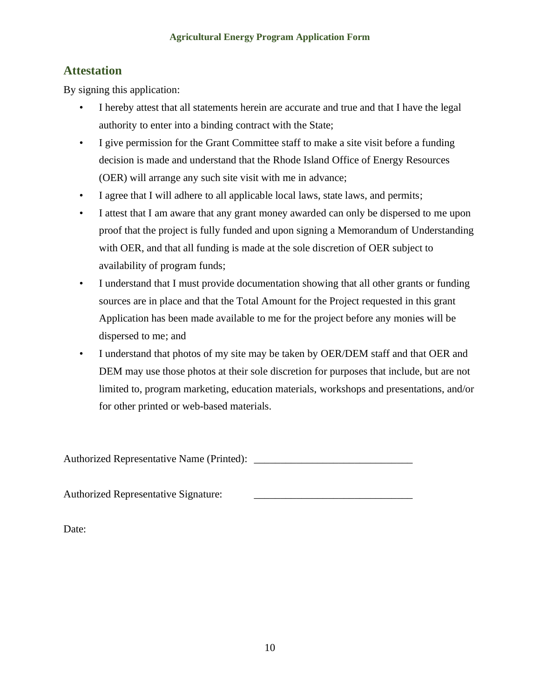### **Attestation**

By signing this application:

- I hereby attest that all statements herein are accurate and true and that I have the legal authority to enter into a binding contract with the State;
- I give permission for the Grant Committee staff to make a site visit before a funding decision is made and understand that the Rhode Island Office of Energy Resources (OER) will arrange any such site visit with me in advance;
- I agree that I will adhere to all applicable local laws, state laws, and permits;
- I attest that I am aware that any grant money awarded can only be dispersed to me upon proof that the project is fully funded and upon signing a Memorandum of Understanding with OER, and that all funding is made at the sole discretion of OER subject to availability of program funds;
- I understand that I must provide documentation showing that all other grants or funding sources are in place and that the Total Amount for the Project requested in this grant Application has been made available to me for the project before any monies will be dispersed to me; and
- I understand that photos of my site may be taken by OER/DEM staff and that OER and DEM may use those photos at their sole discretion for purposes that include, but are not limited to, program marketing, education materials, workshops and presentations, and/or for other printed or web-based materials.

Authorized Representative Name (Printed): \_\_\_\_\_\_\_\_\_\_\_\_\_\_\_\_\_\_\_\_\_\_\_\_\_\_\_\_\_\_

Authorized Representative Signature:

Date: